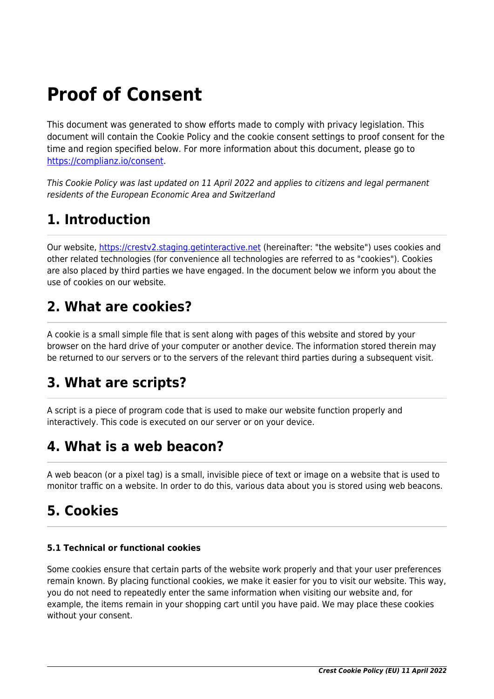# **Proof of Consent**

This document was generated to show efforts made to comply with privacy legislation. This document will contain the Cookie Policy and the cookie consent settings to proof consent for the time and region specified below. For more information about this document, please go to <https://complianz.io/consent>.

This Cookie Policy was last updated on 11 April 2022 and applies to citizens and legal permanent residents of the European Economic Area and Switzerland

## **1. Introduction**

Our website, https://cresty2.staging.getinteractive.net (hereinafter: "the website") uses cookies and other related technologies (for convenience all technologies are referred to as "cookies"). Cookies are also placed by third parties we have engaged. In the document below we inform you about the use of cookies on our website.

### **2. What are cookies?**

A cookie is a small simple file that is sent along with pages of this website and stored by your browser on the hard drive of your computer or another device. The information stored therein may be returned to our servers or to the servers of the relevant third parties during a subsequent visit.

## **3. What are scripts?**

A script is a piece of program code that is used to make our website function properly and interactively. This code is executed on our server or on your device.

## **4. What is a web beacon?**

A web beacon (or a pixel tag) is a small, invisible piece of text or image on a website that is used to monitor traffic on a website. In order to do this, various data about you is stored using web beacons.

## **5. Cookies**

### **5.1 Technical or functional cookies**

Some cookies ensure that certain parts of the website work properly and that your user preferences remain known. By placing functional cookies, we make it easier for you to visit our website. This way, you do not need to repeatedly enter the same information when visiting our website and, for example, the items remain in your shopping cart until you have paid. We may place these cookies without your consent.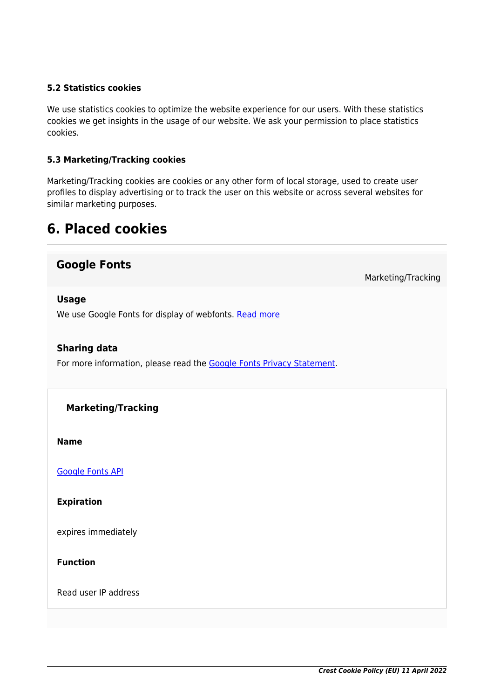#### **5.2 Statistics cookies**

We use statistics cookies to optimize the website experience for our users. With these statistics cookies we get insights in the usage of our website. We ask your permission to place statistics cookies.

#### **5.3 Marketing/Tracking cookies**

Marketing/Tracking cookies are cookies or any other form of local storage, used to create user profiles to display advertising or to track the user on this website or across several websites for similar marketing purposes.

### **6. Placed cookies**

### **Google Fonts**

Marketing/Tracking

#### **Usage**

We use Google Fonts for display of webfonts. [Read more](https://cookiedatabase.org/service/google-fonts/)

#### **Sharing data**

For more information, please read the [Google Fonts Privacy Statement](https://policies.google.com/privacy).

#### **Marketing/Tracking**

**Name**

[Google Fonts API](https://cookiedatabase.org/cookie/google-fonts/tcb_google_fonts/)

**Expiration**

expires immediately

**Function**

Read user IP address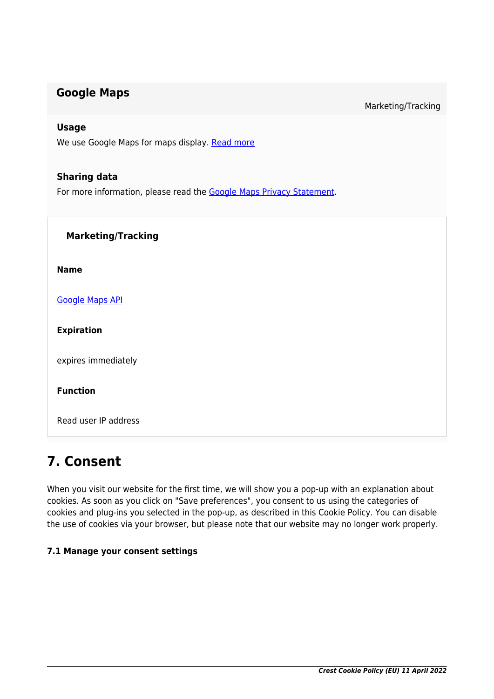### **Google Maps**

Marketing/Tracking

#### **Usage**

We use Google Maps for maps display. [Read more](https://cookiedatabase.org/service/google-maps/)

#### **Sharing data**

For more information, please read the [Google Maps Privacy Statement](https://policies.google.com/privacy).

| <b>Marketing/Tracking</b> |
|---------------------------|
| <b>Name</b>               |
| <b>Google Maps API</b>    |
| <b>Expiration</b>         |
| expires immediately       |
| <b>Function</b>           |
| Read user IP address      |
|                           |

### **7. Consent**

When you visit our website for the first time, we will show you a pop-up with an explanation about cookies. As soon as you click on "Save preferences", you consent to us using the categories of cookies and plug-ins you selected in the pop-up, as described in this Cookie Policy. You can disable the use of cookies via your browser, but please note that our website may no longer work properly.

#### **7.1 Manage your consent settings**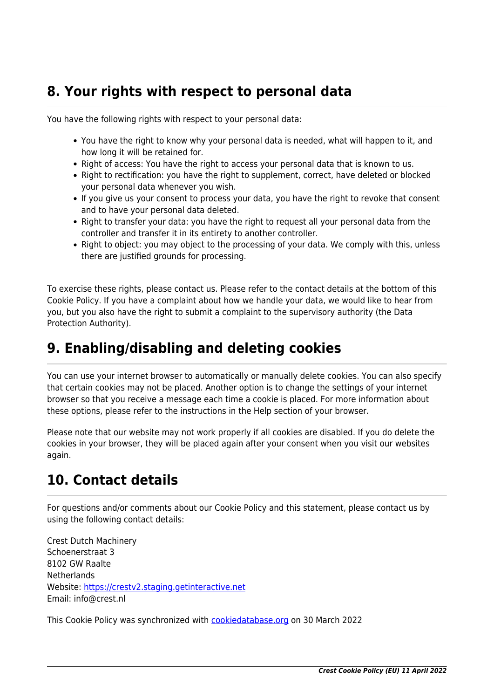### **8. Your rights with respect to personal data**

You have the following rights with respect to your personal data:

- You have the right to know why your personal data is needed, what will happen to it, and how long it will be retained for.
- Right of access: You have the right to access your personal data that is known to us.
- Right to rectification: you have the right to supplement, correct, have deleted or blocked your personal data whenever you wish.
- If you give us your consent to process your data, you have the right to revoke that consent and to have your personal data deleted.
- Right to transfer your data: you have the right to request all your personal data from the controller and transfer it in its entirety to another controller.
- Right to object: you may object to the processing of your data. We comply with this, unless there are justified grounds for processing.

To exercise these rights, please contact us. Please refer to the contact details at the bottom of this Cookie Policy. If you have a complaint about how we handle your data, we would like to hear from you, but you also have the right to submit a complaint to the supervisory authority (the Data Protection Authority).

## **9. Enabling/disabling and deleting cookies**

You can use your internet browser to automatically or manually delete cookies. You can also specify that certain cookies may not be placed. Another option is to change the settings of your internet browser so that you receive a message each time a cookie is placed. For more information about these options, please refer to the instructions in the Help section of your browser.

Please note that our website may not work properly if all cookies are disabled. If you do delete the cookies in your browser, they will be placed again after your consent when you visit our websites again.

## **10. Contact details**

For questions and/or comments about our Cookie Policy and this statement, please contact us by using the following contact details:

Crest Dutch Machinery Schoenerstraat 3 8102 GW Raalte **Netherlands** Website:<https://crestv2.staging.getinteractive.net> Email: info@crest.nl

This Cookie Policy was synchronized with [cookiedatabase.org](https://cookiedatabase.org/) on 30 March 2022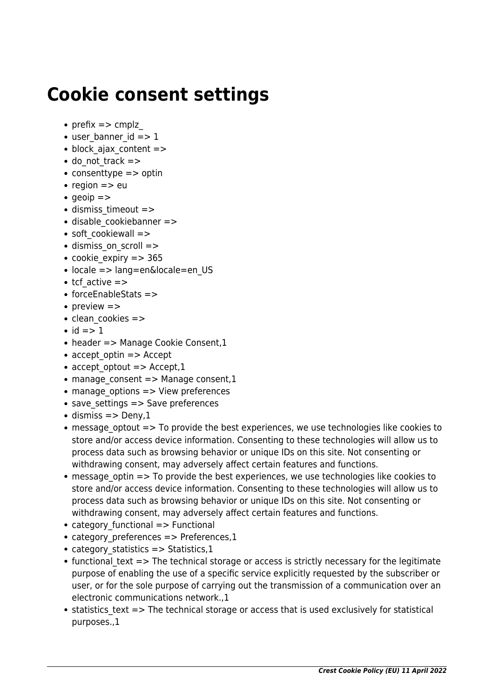# **Cookie consent settings**

- prefix  $\Rightarrow$  cmplz
- $\bullet$  user banner id  $\epsilon$  =  $> 1$
- $\bullet$  block ajax content  $=$  >
- do\_not\_track =>
- consenttype  $\equiv$  > optin
- region  $=>$  eu
- $q$  aeoip  $=$  >
- dismiss timeout =>
- disable cookiebanner =>
- soft cookiewall =>
- dismiss on scroll =>
- cookie expiry  $=$  > 365
- locale => lang=en&locale=en US
- $\bullet$  tcf active  $\Rightarrow$
- forceEnableStats =>
- preview  $\Rightarrow$
- clean cookies =>
- $\bullet$  id => 1
- header => Manage Cookie Consent, 1
- accept optin  $\Rightarrow$  Accept
- accept optout  $=$  > Accept, 1
- $\bullet$  manage consent => Manage consent,1
- $\bullet$  manage options  $\Rightarrow$  View preferences
- save settings => Save preferences
- $\bullet$  dismiss => Deny,1
- message optout => To provide the best experiences, we use technologies like cookies to store and/or access device information. Consenting to these technologies will allow us to process data such as browsing behavior or unique IDs on this site. Not consenting or withdrawing consent, may adversely affect certain features and functions.
- message optin => To provide the best experiences, we use technologies like cookies to store and/or access device information. Consenting to these technologies will allow us to process data such as browsing behavior or unique IDs on this site. Not consenting or withdrawing consent, may adversely affect certain features and functions.
- category functional => Functional
- category preferences => Preferences,1
- category statistics  $=$  > Statistics,1
- $\bullet$  functional text => The technical storage or access is strictly necessary for the legitimate purpose of enabling the use of a specific service explicitly requested by the subscriber or user, or for the sole purpose of carrying out the transmission of a communication over an electronic communications network.,1
- statistics text => The technical storage or access that is used exclusively for statistical purposes.,1